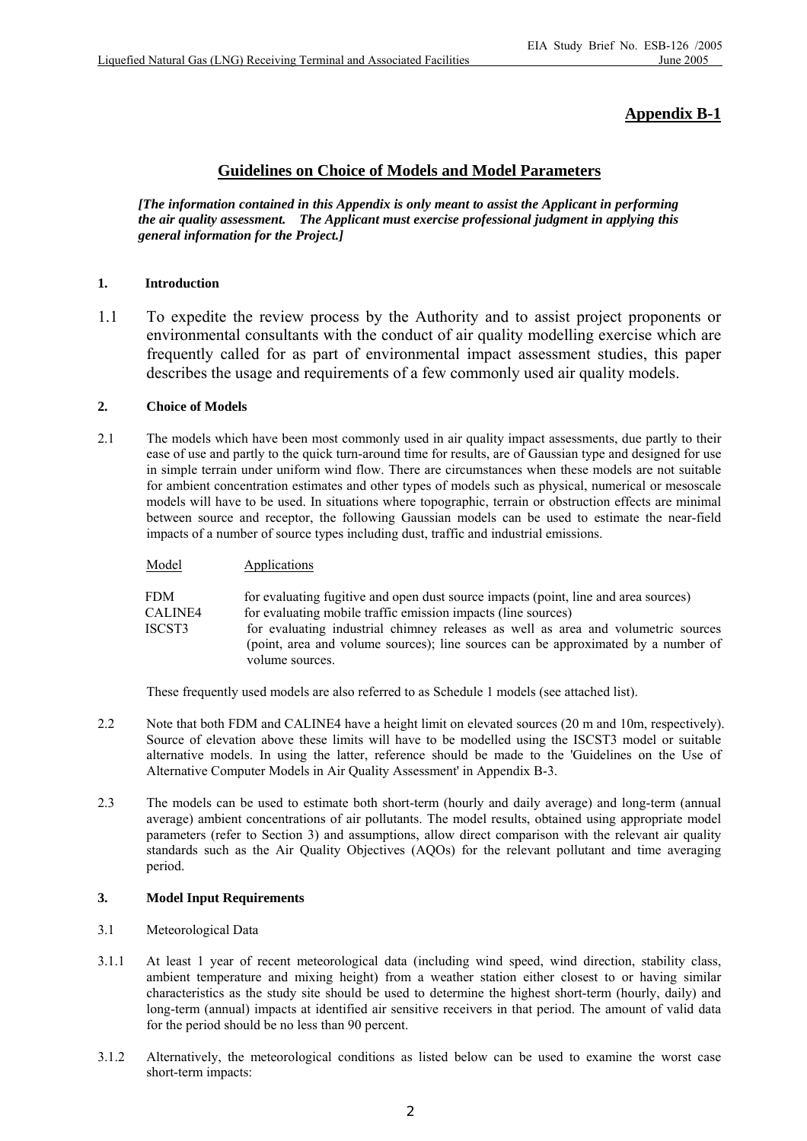# **Appendix B-1**

# **Guidelines on Choice of Models and Model Parameters**

*[The information contained in this Appendix is only meant to assist the Applicant in performing the air quality assessment. The Applicant must exercise professional judgment in applying this general information for the Project.]* 

## **1. Introduction**

1.1 To expedite the review process by the Authority and to assist project proponents or environmental consultants with the conduct of air quality modelling exercise which are frequently called for as part of environmental impact assessment studies, this paper describes the usage and requirements of a few commonly used air quality models.

#### **2. Choice of Models**

Model **Applications** 

2.1 The models which have been most commonly used in air quality impact assessments, due partly to their ease of use and partly to the quick turn-around time for results, are of Gaussian type and designed for use in simple terrain under uniform wind flow. There are circumstances when these models are not suitable for ambient concentration estimates and other types of models such as physical, numerical or mesoscale models will have to be used. In situations where topographic, terrain or obstruction effects are minimal between source and receptor, the following Gaussian models can be used to estimate the near-field impacts of a number of source types including dust, traffic and industrial emissions.

FDM for evaluating fugitive and open dust source impacts (point, line and area sources) CALINE4 for evaluating mobile traffic emission impacts (line sources) ISCST3 for evaluating industrial chimney releases as well as area and volumetric sources (point, area and volume sources); line sources can be approximated by a number of volume sources.

These frequently used models are also referred to as Schedule 1 models (see attached list).

- 2.2 Note that both FDM and CALINE4 have a height limit on elevated sources (20 m and 10m, respectively). Source of elevation above these limits will have to be modelled using the ISCST3 model or suitable alternative models. In using the latter, reference should be made to the 'Guidelines on the Use of Alternative Computer Models in Air Quality Assessment' in Appendix B-3.
- 2.3 The models can be used to estimate both short-term (hourly and daily average) and long-term (annual average) ambient concentrations of air pollutants. The model results, obtained using appropriate model parameters (refer to Section 3) and assumptions, allow direct comparison with the relevant air quality standards such as the Air Quality Objectives (AQOs) for the relevant pollutant and time averaging period.

### **3. Model Input Requirements**

- 3.1 Meteorological Data
- 3.1.1 At least 1 year of recent meteorological data (including wind speed, wind direction, stability class, ambient temperature and mixing height) from a weather station either closest to or having similar characteristics as the study site should be used to determine the highest short-term (hourly, daily) and long-term (annual) impacts at identified air sensitive receivers in that period. The amount of valid data for the period should be no less than 90 percent.
- 3.1.2 Alternatively, the meteorological conditions as listed below can be used to examine the worst case short-term impacts: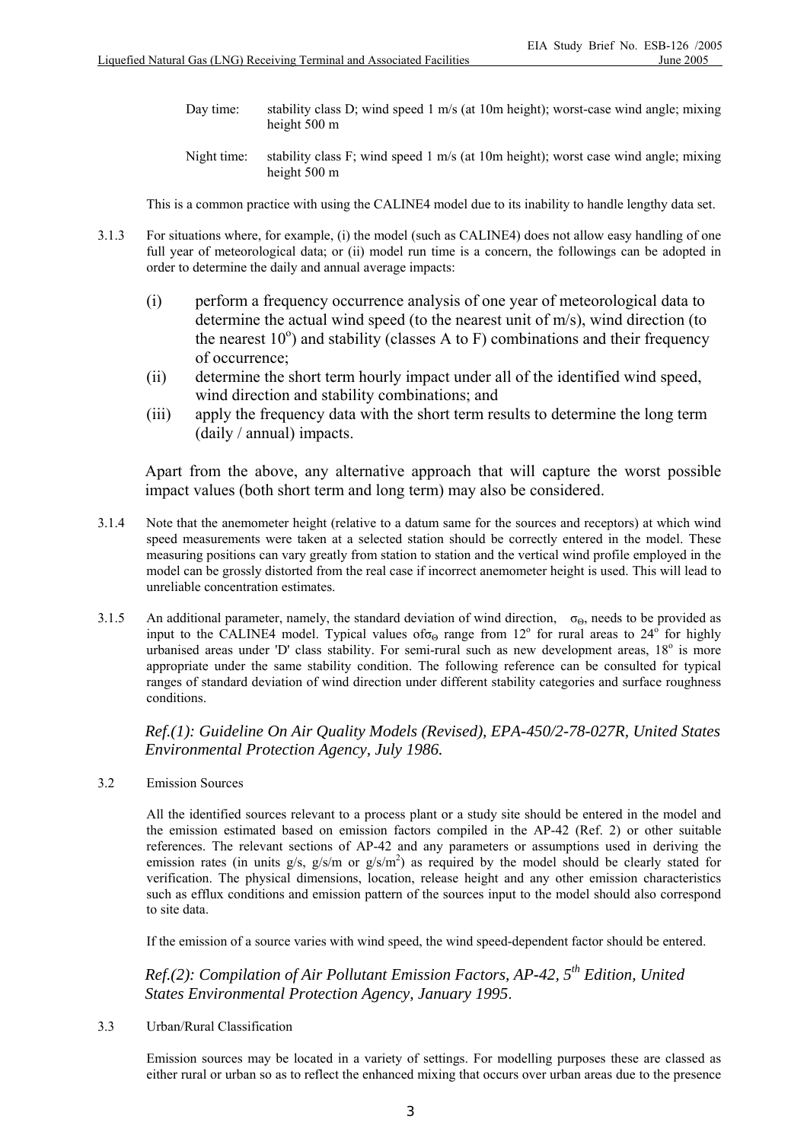- Day time: stability class D; wind speed 1 m/s (at 10m height); worst-case wind angle; mixing height 500 m
- Night time: stability class F; wind speed 1 m/s (at 10m height); worst case wind angle; mixing height 500 m

This is a common practice with using the CALINE4 model due to its inability to handle lengthy data set.

- 3.1.3 For situations where, for example, (i) the model (such as CALINE4) does not allow easy handling of one full year of meteorological data; or (ii) model run time is a concern, the followings can be adopted in order to determine the daily and annual average impacts:
	- (i) perform a frequency occurrence analysis of one year of meteorological data to determine the actual wind speed (to the nearest unit of m/s), wind direction (to the nearest  $10^{\circ}$ ) and stability (classes A to F) combinations and their frequency of occurrence;
	- (ii) determine the short term hourly impact under all of the identified wind speed, wind direction and stability combinations; and
	- (iii) apply the frequency data with the short term results to determine the long term (daily / annual) impacts.

Apart from the above, any alternative approach that will capture the worst possible impact values (both short term and long term) may also be considered.

- 3.1.4 Note that the anemometer height (relative to a datum same for the sources and receptors) at which wind speed measurements were taken at a selected station should be correctly entered in the model. These measuring positions can vary greatly from station to station and the vertical wind profile employed in the model can be grossly distorted from the real case if incorrect anemometer height is used. This will lead to unreliable concentration estimates.
- 3.1.5 An additional parameter, namely, the standard deviation of wind direction,  $\sigma_{\Theta}$ , needs to be provided as input to the CALINE4 model. Typical values of  $\sigma_{\Theta}$  range from 12<sup>°</sup> for rural areas to 24<sup>°</sup> for highly urbanised areas under 'D' class stability. For semi-rural such as new development areas,  $18^\circ$  is more appropriate under the same stability condition. The following reference can be consulted for typical ranges of standard deviation of wind direction under different stability categories and surface roughness conditions.

*Ref.(1): Guideline On Air Quality Models (Revised), EPA-450/2-78-027R, United States Environmental Protection Agency, July 1986.* 

3.2 Emission Sources

 All the identified sources relevant to a process plant or a study site should be entered in the model and the emission estimated based on emission factors compiled in the AP-42 (Ref. 2) or other suitable references. The relevant sections of AP-42 and any parameters or assumptions used in deriving the emission rates (in units  $g/s$ ,  $g/s/m$  or  $g/s/m<sup>2</sup>$ ) as required by the model should be clearly stated for verification. The physical dimensions, location, release height and any other emission characteristics such as efflux conditions and emission pattern of the sources input to the model should also correspond to site data.

If the emission of a source varies with wind speed, the wind speed-dependent factor should be entered.

*Ref.(2): Compilation of Air Pollutant Emission Factors, AP-42, 5th Edition, United States Environmental Protection Agency, January 1995*.

3.3 Urban/Rural Classification

 Emission sources may be located in a variety of settings. For modelling purposes these are classed as either rural or urban so as to reflect the enhanced mixing that occurs over urban areas due to the presence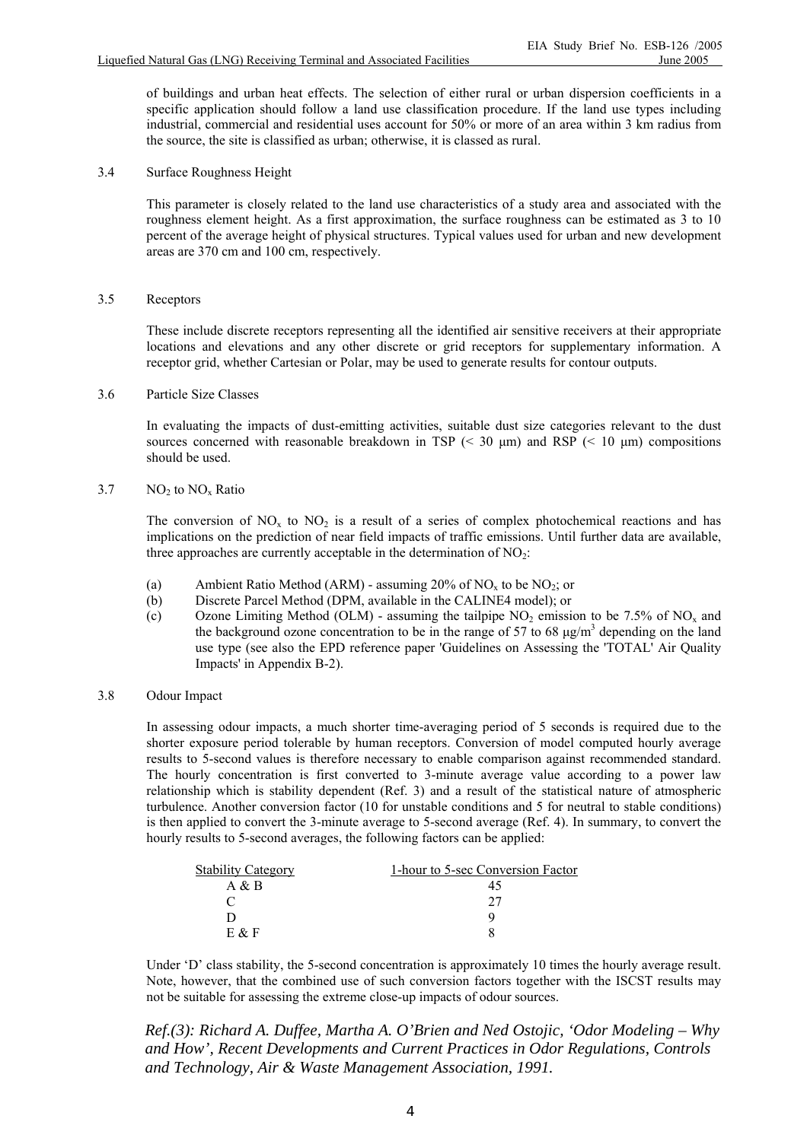of buildings and urban heat effects. The selection of either rural or urban dispersion coefficients in a specific application should follow a land use classification procedure. If the land use types including industrial, commercial and residential uses account for 50% or more of an area within 3 km radius from the source, the site is classified as urban; otherwise, it is classed as rural.

3.4 Surface Roughness Height

 This parameter is closely related to the land use characteristics of a study area and associated with the roughness element height. As a first approximation, the surface roughness can be estimated as 3 to 10 percent of the average height of physical structures. Typical values used for urban and new development areas are 370 cm and 100 cm, respectively.

3.5 Receptors

 These include discrete receptors representing all the identified air sensitive receivers at their appropriate locations and elevations and any other discrete or grid receptors for supplementary information. A receptor grid, whether Cartesian or Polar, may be used to generate results for contour outputs.

3.6 Particle Size Classes

 In evaluating the impacts of dust-emitting activities, suitable dust size categories relevant to the dust sources concerned with reasonable breakdown in TSP ( $\leq$  30  $\mu$ m) and RSP ( $\leq$  10  $\mu$ m) compositions should be used.

3.7  $NO<sub>2</sub>$  to  $NO<sub>x</sub>$  Ratio

The conversion of  $NO_x$  to  $NO_2$  is a result of a series of complex photochemical reactions and has implications on the prediction of near field impacts of traffic emissions. Until further data are available, three approaches are currently acceptable in the determination of  $NO<sub>2</sub>$ :

- (a) Ambient Ratio Method (ARM) assuming 20% of  $NO<sub>x</sub>$  to be  $NO<sub>2</sub>$ ; or
- (b) Discrete Parcel Method (DPM, available in the CALINE4 model); or
- (c) Ozone Limiting Method (OLM) assuming the tailpipe  $NO<sub>2</sub>$  emission to be 7.5% of NO<sub>y</sub> and the background ozone concentration to be in the range of 57 to 68  $\mu$ g/m<sup>3</sup> depending on the land use type (see also the EPD reference paper 'Guidelines on Assessing the 'TOTAL' Air Quality Impacts' in Appendix B-2).

#### 3.8 Odour Impact

 In assessing odour impacts, a much shorter time-averaging period of 5 seconds is required due to the shorter exposure period tolerable by human receptors. Conversion of model computed hourly average results to 5-second values is therefore necessary to enable comparison against recommended standard. The hourly concentration is first converted to 3-minute average value according to a power law relationship which is stability dependent (Ref. 3) and a result of the statistical nature of atmospheric turbulence. Another conversion factor (10 for unstable conditions and 5 for neutral to stable conditions) is then applied to convert the 3-minute average to 5-second average (Ref. 4). In summary, to convert the hourly results to 5-second averages, the following factors can be applied:

| <b>Stability Category</b> | 1-hour to 5-sec Conversion Factor |
|---------------------------|-----------------------------------|
| A & B                     |                                   |
|                           |                                   |
|                           |                                   |
| $E$ & $F$                 |                                   |

Under 'D' class stability, the 5-second concentration is approximately 10 times the hourly average result. Note, however, that the combined use of such conversion factors together with the ISCST results may not be suitable for assessing the extreme close-up impacts of odour sources.

*Ref.(3): Richard A. Duffee, Martha A. O'Brien and Ned Ostojic, 'Odor Modeling – Why and How', Recent Developments and Current Practices in Odor Regulations, Controls and Technology, Air & Waste Management Association, 1991.*